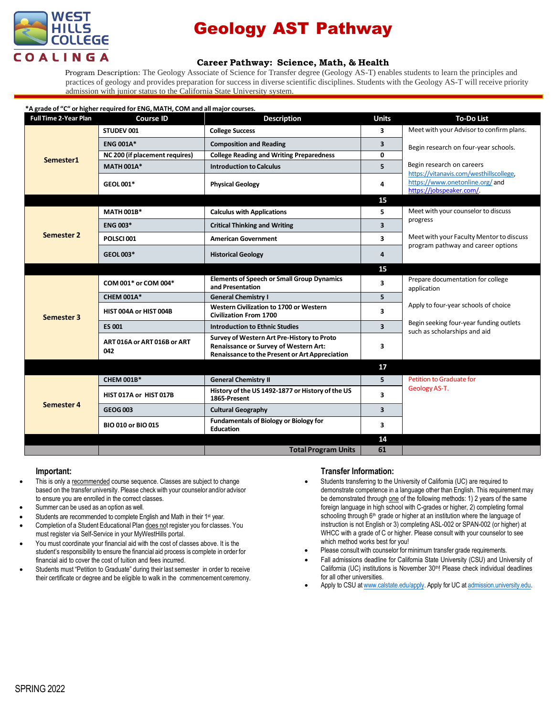

# Geology AST Pathway

## **Career Pathway: Science, Math, & Health**

Program Description: The Geology Associate of Science for Transfer degree (Geology AS-T) enables students to learn the principles and practices of geology and provides preparation for success in diverse scientific disciplines. Students with the Geology AS-T will receive priority admission with junior status to the California State University system.

#### **\*A grade of "C" or higher required for ENG, MATH, COM and all major courses.**

| <b>Full Time 2-Year Plan</b> | <b>Course ID</b>                   | <b>Description</b>                                                                                                                           | <b>Units</b>            | <b>To-Do List</b>                                                                                                                 |
|------------------------------|------------------------------------|----------------------------------------------------------------------------------------------------------------------------------------------|-------------------------|-----------------------------------------------------------------------------------------------------------------------------------|
| Semester1                    | STUDEV 001                         | <b>College Success</b>                                                                                                                       | $\overline{\mathbf{3}}$ | Meet with your Advisor to confirm plans.                                                                                          |
|                              | <b>ENG 001A*</b>                   | <b>Composition and Reading</b>                                                                                                               | 3                       | Begin research on four-year schools.<br>Begin research on careers                                                                 |
|                              | NC 200 (if placement requires)     | <b>College Reading and Writing Preparedness</b>                                                                                              | 0                       |                                                                                                                                   |
|                              | <b>MATH 001A*</b>                  | <b>Introduction to Calculus</b>                                                                                                              | 5                       |                                                                                                                                   |
|                              | GEOL001*                           | <b>Physical Geology</b>                                                                                                                      | 4                       | https://vitanavis.com/westhillscollege.<br>https://www.onetonline.org/and<br>https://jobspeaker.com/.                             |
|                              |                                    |                                                                                                                                              | 15                      |                                                                                                                                   |
| Semester 2                   | <b>MATH 001B*</b>                  | <b>Calculus with Applications</b>                                                                                                            | 5.                      | Meet with your counselor to discuss<br>progress<br>Meet with your Faculty Mentor to discuss<br>program pathway and career options |
|                              | <b>ENG 003*</b>                    | <b>Critical Thinking and Writing</b>                                                                                                         | 3                       |                                                                                                                                   |
|                              | POLSCI001                          | <b>American Government</b>                                                                                                                   | 3                       |                                                                                                                                   |
|                              | GEOL 003*                          | <b>Historical Geology</b>                                                                                                                    | 4                       |                                                                                                                                   |
|                              |                                    |                                                                                                                                              | 15                      |                                                                                                                                   |
| Semester 3                   | COM 001* or COM 004*               | <b>Elements of Speech or Small Group Dynamics</b><br>and Presentation                                                                        | 3                       | Prepare documentation for college<br>application                                                                                  |
|                              | <b>CHEM 001A*</b>                  | <b>General Chemistry I</b>                                                                                                                   | 5                       |                                                                                                                                   |
|                              | HIST 004A or HIST 004B             | Western Civilization to 1700 or Western<br><b>Civilization From 1700</b>                                                                     | 3                       | Apply to four-year schools of choice<br>Begin seeking four-year funding outlets<br>such as scholarships and aid                   |
|                              | <b>ES 001</b>                      | <b>Introduction to Ethnic Studies</b>                                                                                                        | $\overline{\mathbf{3}}$ |                                                                                                                                   |
|                              | ART 016A or ART 016B or ART<br>042 | Survey of Western Art Pre-History to Proto<br><b>Renaissance or Survey of Western Art:</b><br>Renaissance to the Present or Art Appreciation | 3                       |                                                                                                                                   |
|                              |                                    |                                                                                                                                              | 17                      |                                                                                                                                   |
| Semester 4                   | <b>CHEM 001B*</b>                  | <b>General Chemistry II</b>                                                                                                                  | 5                       | <b>Petition to Graduate for</b>                                                                                                   |
|                              | HIST 017A or HIST 017B             | History of the US 1492-1877 or History of the US<br>1865-Present                                                                             | 3                       | Geology AS-T.                                                                                                                     |
|                              | <b>GEOG003</b>                     | <b>Cultural Geography</b>                                                                                                                    | $\overline{\mathbf{3}}$ |                                                                                                                                   |
|                              | BIO 010 or BIO 015                 | <b>Fundamentals of Biology or Biology for</b><br><b>Education</b>                                                                            | 3                       |                                                                                                                                   |
|                              |                                    |                                                                                                                                              | 14                      |                                                                                                                                   |
|                              |                                    | <b>Total Program Units</b>                                                                                                                   | 61                      |                                                                                                                                   |

#### **Important:**

- This is only a recommended course sequence. Classes are subject to change based on the transfer university. Please check with your counselor and/or advisor to ensure you are enrolled in the correct classes.
- Summer can be used as an option as well.
- Students are recommended to complete English and Math in their 1<sup>st</sup> year.
- Completion of a Student Educational Plan does not register you for classes. You must register via Self-Service in your MyWestHills portal.
- You must coordinate your financial aid with the cost of classes above. It is the student's responsibility to ensure the financial aid process is complete in order for financial aid to cover the cost of tuition and fees incurred.
- Students must "Petition to Graduate" during their last semester in order to receive their certificate or degree and be eligible to walk in the commencement ceremony.

### **Transfer Information:**

- Students transferring to the University of California (UC) are required to demonstrate competence in a language other than English. This requirement may be demonstrated through one of the following methods: 1) 2 years of the same foreign language in high school with C-grades or higher, 2) completing formal schooling through 6<sup>th</sup> grade or higher at an institution where the language of instruction is not English or 3) completing ASL-002 or SPAN-002 (or higher) at WHCC with a grade of C or higher. Please consult with your counselor to see which method works best for you!
- Please consult with counselor for minimum transfer grade requirements.
- Fall admissions deadline for California State University (CSU) and University of California (UC) institutions is November 30<sup>th</sup>! Please check individual deadlines for all other universities.
- Apply to CSU at [www.calstate.edu/apply.](http://www.calstate.edu/apply) Apply for UC [at admission.university.edu.](http://www.apply.universityofcalifornia.edu/)